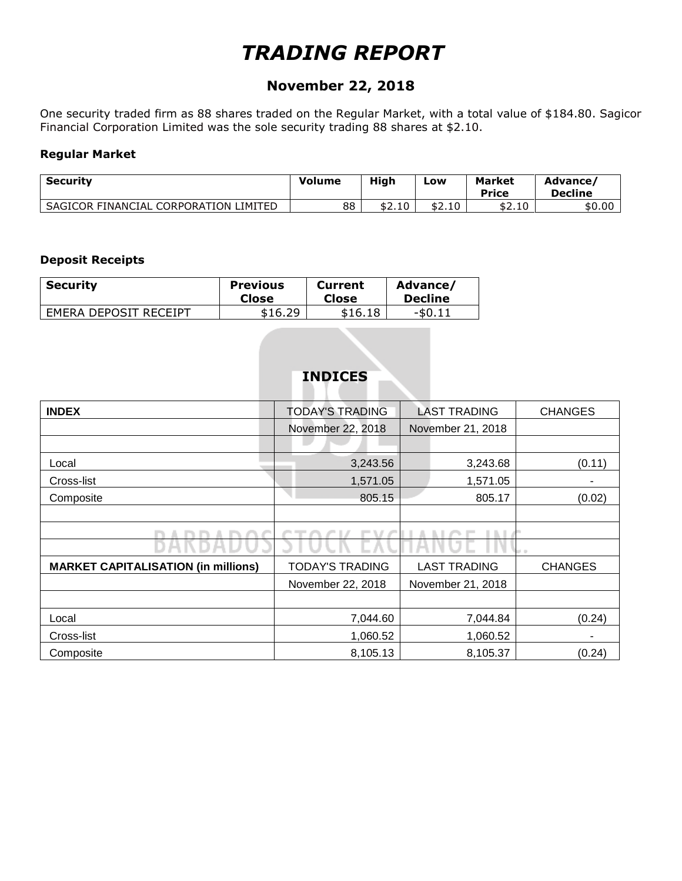## *TRADING REPORT*

### **November 22, 2018**

One security traded firm as 88 shares traded on the Regular Market, with a total value of \$184.80. Sagicor Financial Corporation Limited was the sole security trading 88 shares at \$2.10.

### **Regular Market**

| <b>Security</b>                       | <b>Volume</b> | High         | Low    | <b>Market</b><br><b>Price</b> | Advance<br><b>Decline</b> |
|---------------------------------------|---------------|--------------|--------|-------------------------------|---------------------------|
| SAGICOR FINANCIAL CORPORATION LIMITED | 88            | ሖግ<br>\$2.10 | \$2.10 | \$2.10                        | \$0.00                    |

### **Deposit Receipts**

| <b>Security</b>       | <b>Previous</b> | <b>Current</b> | Advance/       |
|-----------------------|-----------------|----------------|----------------|
|                       | Close           | Close          | <b>Decline</b> |
| EMERA DEPOSIT RECEIPT | \$16.29         | \$16.18        | $-50.11$       |

### **INDICES**

| <b>INDEX</b>                               | <b>TODAY'S TRADING</b> | <b>LAST TRADING</b> | <b>CHANGES</b> |
|--------------------------------------------|------------------------|---------------------|----------------|
|                                            | November 22, 2018      | November 21, 2018   |                |
|                                            |                        |                     |                |
| Local                                      | 3,243.56               | 3,243.68            | (0.11)         |
| Cross-list                                 | 1,571.05               | 1,571.05            |                |
| Composite                                  | 805.15                 | 805.17              | (0.02)         |
|                                            |                        |                     |                |
|                                            |                        |                     |                |
|                                            |                        |                     |                |
| <b>MARKET CAPITALISATION (in millions)</b> | <b>TODAY'S TRADING</b> | <b>LAST TRADING</b> | <b>CHANGES</b> |
|                                            | November 22, 2018      | November 21, 2018   |                |
|                                            |                        |                     |                |
| Local                                      | 7,044.60               | 7,044.84            | (0.24)         |
| Cross-list                                 | 1,060.52               | 1,060.52            |                |
| Composite                                  | 8,105.13               | 8,105.37            | (0.24)         |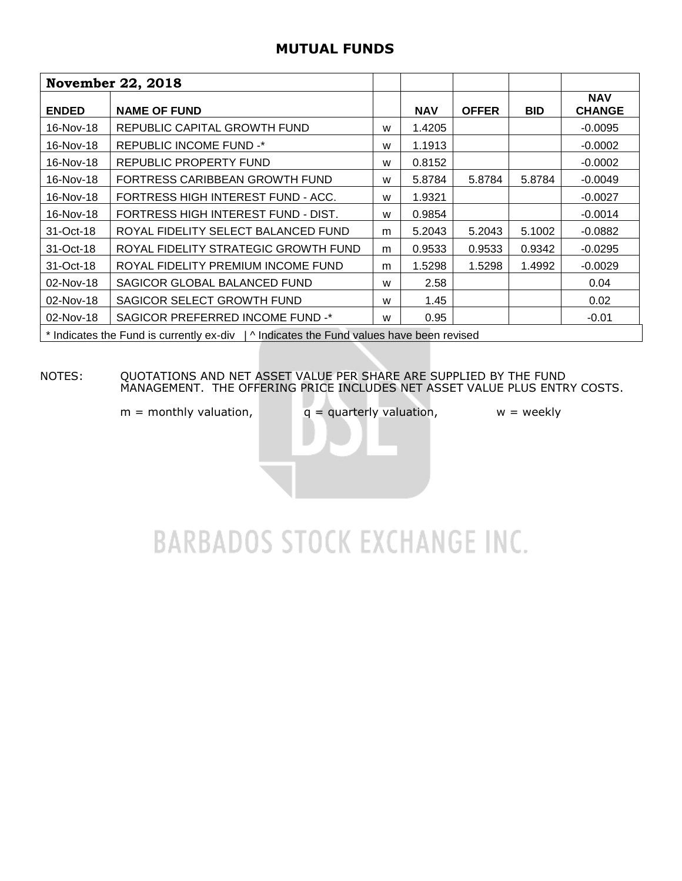### **MUTUAL FUNDS**

|              | <b>November 22, 2018</b>                                                                 |   |            |              |            |                             |
|--------------|------------------------------------------------------------------------------------------|---|------------|--------------|------------|-----------------------------|
| <b>ENDED</b> | <b>NAME OF FUND</b>                                                                      |   | <b>NAV</b> | <b>OFFER</b> | <b>BID</b> | <b>NAV</b><br><b>CHANGE</b> |
| 16-Nov-18    | REPUBLIC CAPITAL GROWTH FUND                                                             | W | 1.4205     |              |            | $-0.0095$                   |
| 16-Nov-18    | <b>REPUBLIC INCOME FUND -*</b>                                                           | W | 1.1913     |              |            | $-0.0002$                   |
| 16-Nov-18    | REPUBLIC PROPERTY FUND                                                                   | W | 0.8152     |              |            | $-0.0002$                   |
| 16-Nov-18    | FORTRESS CARIBBEAN GROWTH FUND                                                           | W | 5.8784     | 5.8784       | 5.8784     | $-0.0049$                   |
| 16-Nov-18    | FORTRESS HIGH INTEREST FUND - ACC.                                                       | W | 1.9321     |              |            | $-0.0027$                   |
| 16-Nov-18    | FORTRESS HIGH INTEREST FUND - DIST.                                                      | W | 0.9854     |              |            | $-0.0014$                   |
| 31-Oct-18    | ROYAL FIDELITY SELECT BALANCED FUND                                                      | m | 5.2043     | 5.2043       | 5.1002     | $-0.0882$                   |
| 31-Oct-18    | ROYAL FIDELITY STRATEGIC GROWTH FUND                                                     | m | 0.9533     | 0.9533       | 0.9342     | $-0.0295$                   |
| 31-Oct-18    | ROYAL FIDELITY PREMIUM INCOME FUND                                                       | m | 1.5298     | 1.5298       | 1.4992     | $-0.0029$                   |
| 02-Nov-18    | SAGICOR GLOBAL BALANCED FUND                                                             | W | 2.58       |              |            | 0.04                        |
| 02-Nov-18    | SAGICOR SELECT GROWTH FUND                                                               | W | 1.45       |              |            | 0.02                        |
| 02-Nov-18    | SAGICOR PREFERRED INCOME FUND -*                                                         | W | 0.95       |              |            | $-0.01$                     |
|              | * Indicates the Fund is currently ex-div   ^ Indicates the Fund values have been revised |   |            |              |            |                             |

### NOTES: QUOTATIONS AND NET ASSET VALUE PER SHARE ARE SUPPLIED BY THE FUND MANAGEMENT. THE OFFERING PRICE INCLUDES NET ASSET VALUE PLUS ENTRY COSTS.

 $m =$  monthly valuation,  $q =$  quarterly valuation,  $w =$  weekly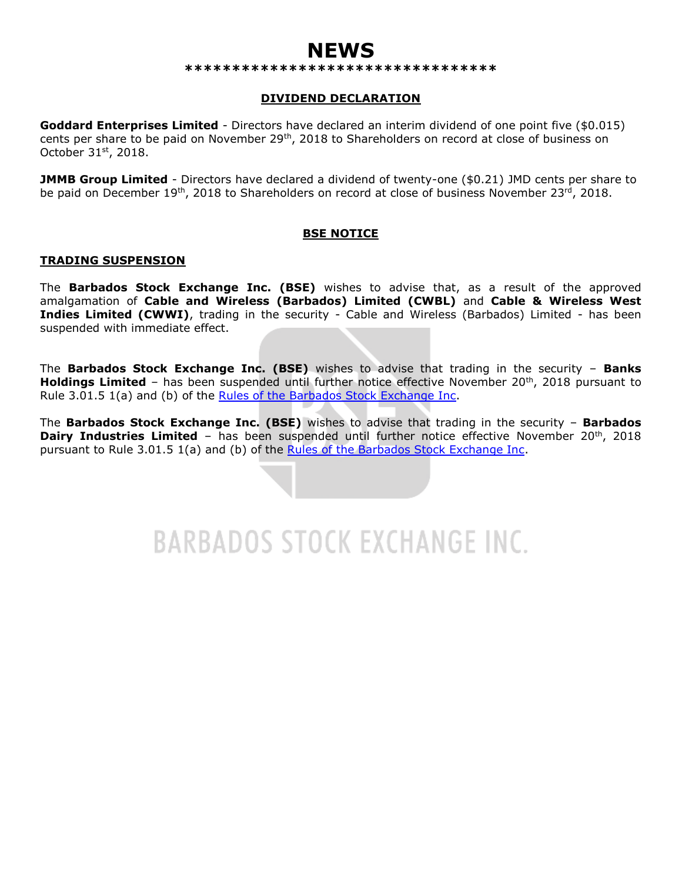## **NEWS**

#### **\*\*\*\*\*\*\*\*\*\*\*\*\*\*\*\*\*\*\*\*\*\*\*\*\*\*\*\*\*\*\*\*\***

### **DIVIDEND DECLARATION**

**Goddard Enterprises Limited** - Directors have declared an interim dividend of one point five (\$0.015) cents per share to be paid on November 29<sup>th</sup>, 2018 to Shareholders on record at close of business on October 31st, 2018.

**JMMB Group Limited** - Directors have declared a dividend of twenty-one (\$0.21) JMD cents per share to be paid on December 19<sup>th</sup>, 2018 to Shareholders on record at close of business November 23<sup>rd</sup>, 2018.

### **BSE NOTICE**

#### **TRADING SUSPENSION**

The **Barbados Stock Exchange Inc. (BSE)** wishes to advise that, as a result of the approved amalgamation of **Cable and Wireless (Barbados) Limited (CWBL)** and **Cable & Wireless West Indies Limited (CWWI)**, trading in the security - Cable and Wireless (Barbados) Limited - has been suspended with immediate effect.

The **Barbados Stock Exchange Inc. (BSE)** wishes to advise that trading in the security – **Banks Holdings Limited** – has been suspended until further notice effective November 20<sup>th</sup>, 2018 pursuant to Rule 3.01.5 1(a) and (b) of the [Rules of the Barbados Stock Exchange Inc.](https://bse.com.bb/wp-content/uploads/2018/04/Rules-of-the-Barbados-Stock-Exchange-Inc-Version-2.2.pdf)

The **Barbados Stock Exchange Inc. (BSE)** wishes to advise that trading in the security – **Barbados Dairy Industries Limited** – has been suspended until further notice effective November 20<sup>th</sup>, 2018 pursuant to Rule 3.01.5 1(a) and (b) of the [Rules of the Barbados Stock Exchange Inc.](https://bse.com.bb/wp-content/uploads/2018/04/Rules-of-the-Barbados-Stock-Exchange-Inc-Version-2.2.pdf)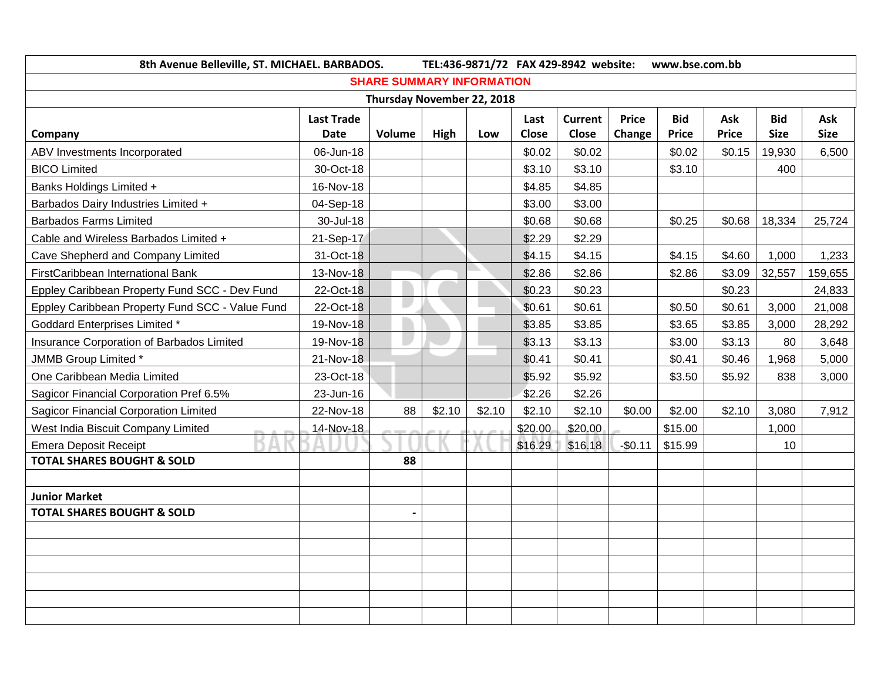| 8th Avenue Belleville, ST. MICHAEL. BARBADOS.   |                   |                                  |        | TEL:436-9871/72 FAX 429-8942 website: |         | www.bse.com.bb |              |            |              |             |             |
|-------------------------------------------------|-------------------|----------------------------------|--------|---------------------------------------|---------|----------------|--------------|------------|--------------|-------------|-------------|
|                                                 |                   | <b>SHARE SUMMARY INFORMATION</b> |        |                                       |         |                |              |            |              |             |             |
|                                                 |                   | Thursday November 22, 2018       |        |                                       |         |                |              |            |              |             |             |
|                                                 | <b>Last Trade</b> |                                  |        |                                       | Last    | <b>Current</b> | <b>Price</b> | <b>Bid</b> | Ask          | <b>Bid</b>  | Ask         |
| Company                                         | <b>Date</b>       | Volume                           | High   | Low                                   | Close   | <b>Close</b>   | Change       | Price      | <b>Price</b> | <b>Size</b> | <b>Size</b> |
| ABV Investments Incorporated                    | 06-Jun-18         |                                  |        |                                       | \$0.02  | \$0.02         |              | \$0.02     | \$0.15       | 19,930      | 6,500       |
| <b>BICO Limited</b>                             | 30-Oct-18         |                                  |        |                                       | \$3.10  | \$3.10         |              | \$3.10     |              | 400         |             |
| Banks Holdings Limited +                        | 16-Nov-18         |                                  |        |                                       | \$4.85  | \$4.85         |              |            |              |             |             |
| Barbados Dairy Industries Limited +             | 04-Sep-18         |                                  |        |                                       | \$3.00  | \$3.00         |              |            |              |             |             |
| <b>Barbados Farms Limited</b>                   | 30-Jul-18         |                                  |        |                                       | \$0.68  | \$0.68         |              | \$0.25     | \$0.68       | 18,334      | 25,724      |
| Cable and Wireless Barbados Limited +           | 21-Sep-17         |                                  |        |                                       | \$2.29  | \$2.29         |              |            |              |             |             |
| Cave Shepherd and Company Limited               | 31-Oct-18         |                                  |        |                                       | \$4.15  | \$4.15         |              | \$4.15     | \$4.60       | 1,000       | 1,233       |
| FirstCaribbean International Bank               | 13-Nov-18         |                                  |        |                                       | \$2.86  | \$2.86         |              | \$2.86     | \$3.09       | 32,557      | 159,655     |
| Eppley Caribbean Property Fund SCC - Dev Fund   | 22-Oct-18         |                                  |        |                                       | \$0.23  | \$0.23         |              |            | \$0.23       |             | 24,833      |
| Eppley Caribbean Property Fund SCC - Value Fund | 22-Oct-18         | I.                               |        |                                       | \$0.61  | \$0.61         |              | \$0.50     | \$0.61       | 3,000       | 21,008      |
| <b>Goddard Enterprises Limited *</b>            | 19-Nov-18         |                                  |        |                                       | \$3.85  | \$3.85         |              | \$3.65     | \$3.85       | 3,000       | 28,292      |
| Insurance Corporation of Barbados Limited       | 19-Nov-18         |                                  |        |                                       | \$3.13  | \$3.13         |              | \$3.00     | \$3.13       | 80          | 3,648       |
| JMMB Group Limited *                            | 21-Nov-18         |                                  |        |                                       | \$0.41  | \$0.41         |              | \$0.41     | \$0.46       | 1,968       | 5,000       |
| One Caribbean Media Limited                     | 23-Oct-18         |                                  |        |                                       | \$5.92  | \$5.92         |              | \$3.50     | \$5.92       | 838         | 3,000       |
| Sagicor Financial Corporation Pref 6.5%         | 23-Jun-16         |                                  |        |                                       | \$2.26  | \$2.26         |              |            |              |             |             |
| Sagicor Financial Corporation Limited           | 22-Nov-18         | 88                               | \$2.10 | \$2.10                                | \$2.10  | \$2.10         | \$0.00       | \$2.00     | \$2.10       | 3,080       | 7,912       |
| West India Biscuit Company Limited              | 14-Nov-18         |                                  |        |                                       | \$20.00 | \$20.00        |              | \$15.00    |              | 1,000       |             |
| <b>Emera Deposit Receipt</b>                    |                   |                                  |        |                                       | \$16.29 | \$16.18        | $-$0.11$     | \$15.99    |              | 10          |             |
| <b>TOTAL SHARES BOUGHT &amp; SOLD</b>           |                   | 88                               |        |                                       |         |                |              |            |              |             |             |
|                                                 |                   |                                  |        |                                       |         |                |              |            |              |             |             |
| <b>Junior Market</b>                            |                   |                                  |        |                                       |         |                |              |            |              |             |             |
| <b>TOTAL SHARES BOUGHT &amp; SOLD</b>           |                   |                                  |        |                                       |         |                |              |            |              |             |             |
|                                                 |                   |                                  |        |                                       |         |                |              |            |              |             |             |
|                                                 |                   |                                  |        |                                       |         |                |              |            |              |             |             |
|                                                 |                   |                                  |        |                                       |         |                |              |            |              |             |             |
|                                                 |                   |                                  |        |                                       |         |                |              |            |              |             |             |
|                                                 |                   |                                  |        |                                       |         |                |              |            |              |             |             |
|                                                 |                   |                                  |        |                                       |         |                |              |            |              |             |             |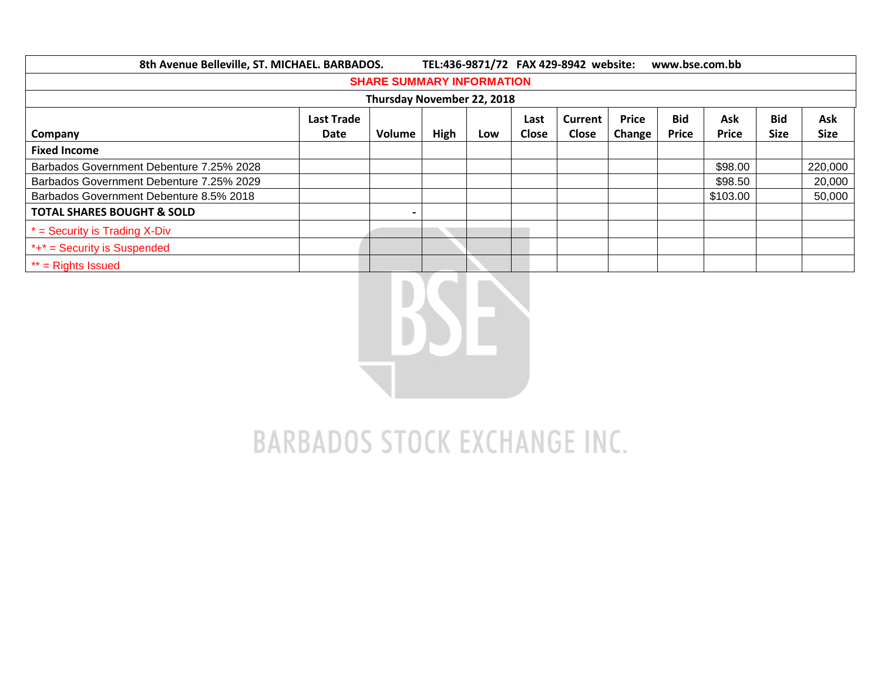| 8th Avenue Belleville, ST. MICHAEL. BARBADOS.                             |      |        |      |     |       | TEL:436-9871/72 FAX 429-8942 website: |            | www.bse.com.bb |              |             |             |
|---------------------------------------------------------------------------|------|--------|------|-----|-------|---------------------------------------|------------|----------------|--------------|-------------|-------------|
| <b>SHARE SUMMARY INFORMATION</b>                                          |      |        |      |     |       |                                       |            |                |              |             |             |
| Thursday November 22, 2018                                                |      |        |      |     |       |                                       |            |                |              |             |             |
| <b>Bid</b><br>Ask<br><b>Price</b><br><b>Last Trade</b><br>Current<br>Last |      |        |      |     |       |                                       | <b>Bid</b> | Ask            |              |             |             |
| Company                                                                   | Date | Volume | High | Low | Close | <b>Close</b>                          | Change     | <b>Price</b>   | <b>Price</b> | <b>Size</b> | <b>Size</b> |
| <b>Fixed Income</b>                                                       |      |        |      |     |       |                                       |            |                |              |             |             |
| Barbados Government Debenture 7.25% 2028                                  |      |        |      |     |       |                                       |            |                | \$98.00      |             | 220,000     |
| Barbados Government Debenture 7.25% 2029                                  |      |        |      |     |       |                                       |            |                | \$98.50      |             | 20,000      |
| Barbados Government Debenture 8.5% 2018                                   |      |        |      |     |       |                                       |            |                | \$103.00     |             | 50,000      |
| <b>TOTAL SHARES BOUGHT &amp; SOLD</b>                                     |      |        |      |     |       |                                       |            |                |              |             |             |
| $*$ = Security is Trading X-Div                                           |      |        |      |     |       |                                       |            |                |              |             |             |
| $*+*$ = Security is Suspended                                             |      |        |      |     |       |                                       |            |                |              |             |             |
| $**$ = Rights Issued                                                      |      |        |      |     |       |                                       |            |                |              |             |             |